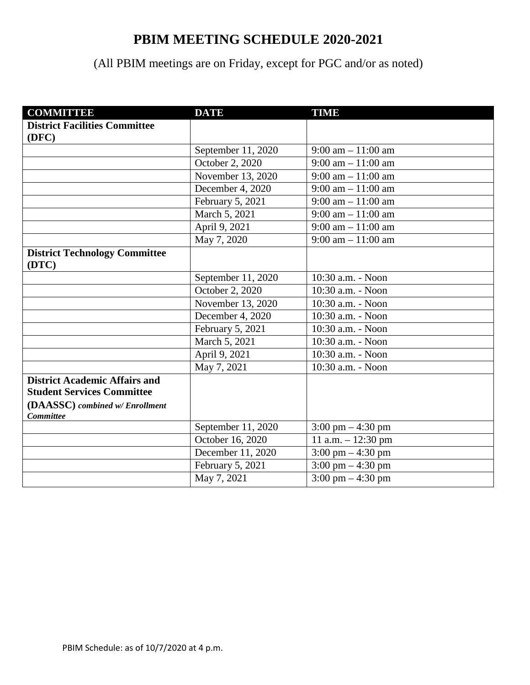## **PBIM MEETING SCHEDULE 2020-2021**

## (All PBIM meetings are on Friday, except for PGC and/or as noted)

| <b>COMMITTEE</b>                                    | <b>DATE</b>        | <b>TIME</b>                          |  |
|-----------------------------------------------------|--------------------|--------------------------------------|--|
| <b>District Facilities Committee</b>                |                    |                                      |  |
| (DFC)                                               |                    |                                      |  |
|                                                     | September 11, 2020 | $9:00$ am $-11:00$ am                |  |
|                                                     | October 2, 2020    | $9:00$ am $-11:00$ am                |  |
|                                                     | November 13, 2020  | $9:00$ am $-11:00$ am                |  |
|                                                     | December 4, 2020   | $9:00$ am $-11:00$ am                |  |
|                                                     | February 5, 2021   | $9:00$ am $-11:00$ am                |  |
|                                                     | March 5, 2021      | $9:00 \text{ am} - 11:00 \text{ am}$ |  |
|                                                     | April 9, 2021      | $9:00$ am $-11:00$ am                |  |
|                                                     | May 7, 2020        | $9:00$ am $-11:00$ am                |  |
| <b>District Technology Committee</b><br>(DTC)       |                    |                                      |  |
|                                                     | September 11, 2020 | 10:30 a.m. - Noon                    |  |
|                                                     | October 2, 2020    | 10:30 a.m. - Noon                    |  |
|                                                     | November 13, 2020  | 10:30 a.m. - Noon                    |  |
|                                                     | December 4, 2020   | 10:30 a.m. - Noon                    |  |
|                                                     | February 5, 2021   | 10:30 a.m. - Noon                    |  |
|                                                     | March 5, 2021      | 10:30 a.m. - Noon                    |  |
|                                                     | April 9, 2021      | 10:30 a.m. - Noon                    |  |
|                                                     | May 7, 2021        | 10:30 a.m. - Noon                    |  |
| <b>District Academic Affairs and</b>                |                    |                                      |  |
| <b>Student Services Committee</b>                   |                    |                                      |  |
| (DAASSC) combined w/ Enrollment<br><b>Committee</b> |                    |                                      |  |
|                                                     | September 11, 2020 | $3:00 \text{ pm} - 4:30 \text{ pm}$  |  |
|                                                     | October 16, 2020   | 11 a.m. $- 12:30$ pm                 |  |
|                                                     | December 11, 2020  | $3:00 \text{ pm} - 4:30 \text{ pm}$  |  |
|                                                     | February 5, 2021   | 3:00 pm $-4:30$ pm                   |  |
|                                                     | May 7, 2021        | 3:00 pm $-4:30$ pm                   |  |